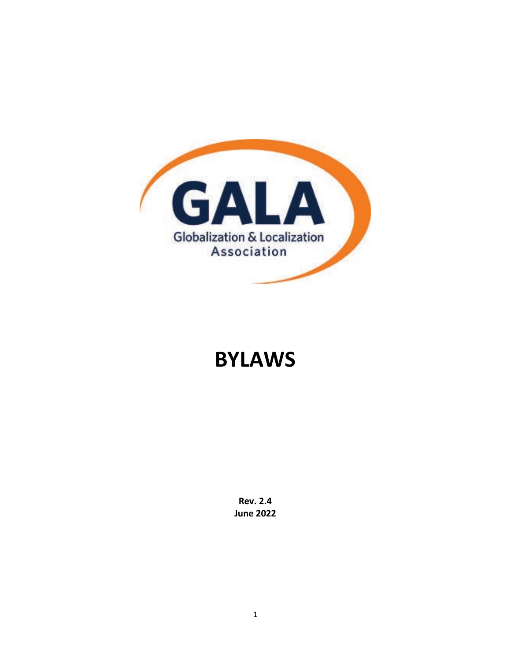

# **BYLAWS**

**Rev. 2.4 June 2022**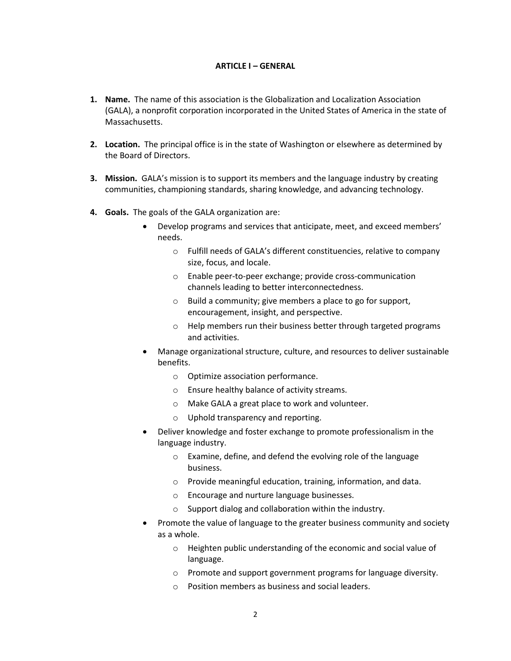#### **ARTICLE I – GENERAL**

- **1. Name.** The name of this association is the Globalization and Localization Association (GALA), a nonprofit corporation incorporated in the United States of America in the state of Massachusetts.
- **2. Location.** The principal office is in the state of Washington or elsewhere as determined by the Board of Directors.
- **3. Mission.** GALA's mission is to support its members and the language industry by creating communities, championing standards, sharing knowledge, and advancing technology.
- **4. Goals.** The goals of the GALA organization are:
	- Develop programs and services that anticipate, meet, and exceed members' needs.
		- o Fulfill needs of GALA's different constituencies, relative to company size, focus, and locale.
		- o Enable peer-to-peer exchange; provide cross-communication channels leading to better interconnectedness.
		- o Build a community; give members a place to go for support, encouragement, insight, and perspective.
		- o Help members run their business better through targeted programs and activities.
	- Manage organizational structure, culture, and resources to deliver sustainable benefits.
		- o Optimize association performance.
		- o Ensure healthy balance of activity streams.
		- o Make GALA a great place to work and volunteer.
		- o Uphold transparency and reporting.
	- Deliver knowledge and foster exchange to promote professionalism in the language industry.
		- o Examine, define, and defend the evolving role of the language business.
		- o Provide meaningful education, training, information, and data.
		- o Encourage and nurture language businesses.
		- o Support dialog and collaboration within the industry.
	- Promote the value of language to the greater business community and society as a whole.
		- o Heighten public understanding of the economic and social value of language.
		- o Promote and support government programs for language diversity.
		- o Position members as business and social leaders.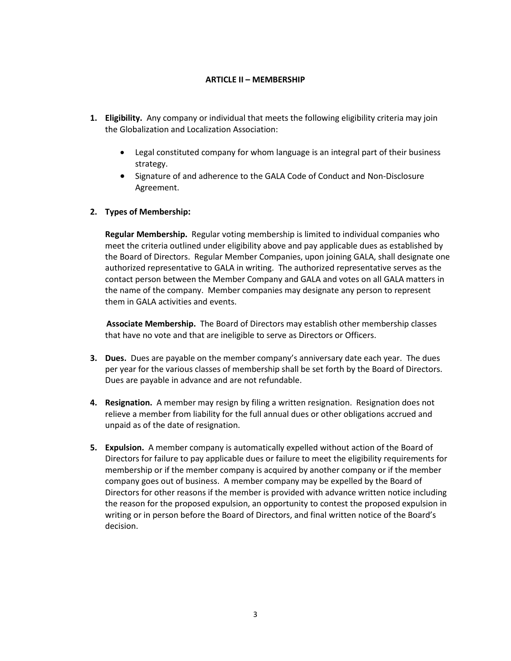## **ARTICLE II – MEMBERSHIP**

- **1. Eligibility.** Any company or individual that meets the following eligibility criteria may join the Globalization and Localization Association:
	- Legal constituted company for whom language is an integral part of their business strategy.
	- Signature of and adherence to the GALA Code of Conduct and Non-Disclosure Agreement.

## **2. Types of Membership:**

**Regular Membership.** Regular voting membership is limited to individual companies who meet the criteria outlined under eligibility above and pay applicable dues as established by the Board of Directors. Regular Member Companies, upon joining GALA, shall designate one authorized representative to GALA in writing. The authorized representative serves as the contact person between the Member Company and GALA and votes on all GALA matters in the name of the company. Member companies may designate any person to represent them in GALA activities and events.

**Associate Membership.** The Board of Directors may establish other membership classes that have no vote and that are ineligible to serve as Directors or Officers.

- **3. Dues.** Dues are payable on the member company's anniversary date each year. The dues per year for the various classes of membership shall be set forth by the Board of Directors. Dues are payable in advance and are not refundable.
- **4. Resignation.** A member may resign by filing a written resignation. Resignation does not relieve a member from liability for the full annual dues or other obligations accrued and unpaid as of the date of resignation.
- **5. Expulsion.** A member company is automatically expelled without action of the Board of Directors for failure to pay applicable dues or failure to meet the eligibility requirements for membership or if the member company is acquired by another company or if the member company goes out of business. A member company may be expelled by the Board of Directors for other reasons if the member is provided with advance written notice including the reason for the proposed expulsion, an opportunity to contest the proposed expulsion in writing or in person before the Board of Directors, and final written notice of the Board's decision.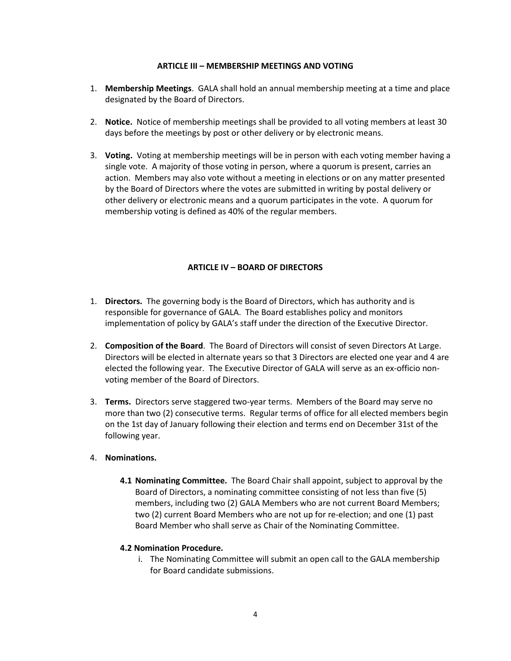## **ARTICLE III – MEMBERSHIP MEETINGS AND VOTING**

- 1. **Membership Meetings**. GALA shall hold an annual membership meeting at a time and place designated by the Board of Directors.
- 2. **Notice.** Notice of membership meetings shall be provided to all voting members at least 30 days before the meetings by post or other delivery or by electronic means.
- 3. **Voting.** Voting at membership meetings will be in person with each voting member having a single vote. A majority of those voting in person, where a quorum is present, carries an action. Members may also vote without a meeting in elections or on any matter presented by the Board of Directors where the votes are submitted in writing by postal delivery or other delivery or electronic means and a quorum participates in the vote. A quorum for membership voting is defined as 40% of the regular members.

# **ARTICLE IV – BOARD OF DIRECTORS**

- 1. **Directors.** The governing body is the Board of Directors, which has authority and is responsible for governance of GALA. The Board establishes policy and monitors implementation of policy by GALA's staff under the direction of the Executive Director.
- 2. **Composition of the Board**. The Board of Directors will consist of seven Directors At Large. Directors will be elected in alternate years so that 3 Directors are elected one year and 4 are elected the following year. The Executive Director of GALA will serve as an ex-officio nonvoting member of the Board of Directors.
- 3. **Terms.** Directors serve staggered two-year terms. Members of the Board may serve no more than two (2) consecutive terms. Regular terms of office for all elected members begin on the 1st day of January following their election and terms end on December 31st of the following year.

## 4. **Nominations.**

**4.1 Nominating Committee.** The Board Chair shall appoint, subject to approval by the Board of Directors, a nominating committee consisting of not less than five (5) members, including two (2) GALA Members who are not current Board Members; two (2) current Board Members who are not up for re-election; and one (1) past Board Member who shall serve as Chair of the Nominating Committee.

## **4.2 Nomination Procedure.**

i. The Nominating Committee will submit an open call to the GALA membership for Board candidate submissions.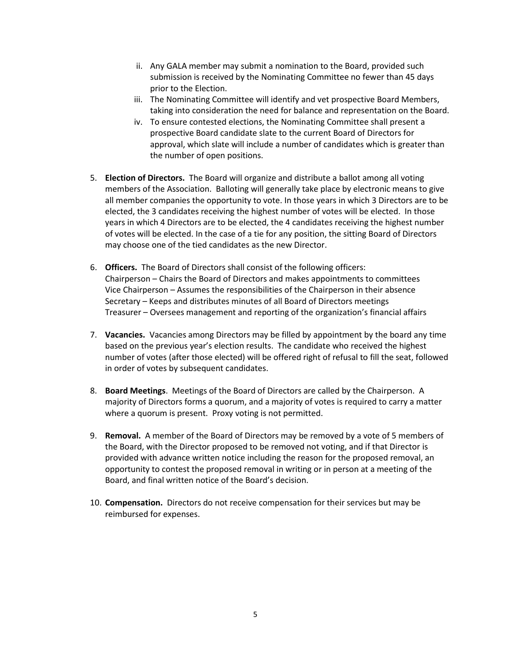- ii. Any GALA member may submit a nomination to the Board, provided such submission is received by the Nominating Committee no fewer than 45 days prior to the Election.
- iii. The Nominating Committee will identify and vet prospective Board Members, taking into consideration the need for balance and representation on the Board.
- iv. To ensure contested elections, the Nominating Committee shall present a prospective Board candidate slate to the current Board of Directors for approval, which slate will include a number of candidates which is greater than the number of open positions.
- 5. **Election of Directors.** The Board will organize and distribute a ballot among all voting members of the Association. Balloting will generally take place by electronic means to give all member companies the opportunity to vote. In those years in which 3 Directors are to be elected, the 3 candidates receiving the highest number of votes will be elected. In those years in which 4 Directors are to be elected, the 4 candidates receiving the highest number of votes will be elected. In the case of a tie for any position, the sitting Board of Directors may choose one of the tied candidates as the new Director.
- 6. **Officers.** The Board of Directors shall consist of the following officers: Chairperson – Chairs the Board of Directors and makes appointments to committees Vice Chairperson – Assumes the responsibilities of the Chairperson in their absence Secretary – Keeps and distributes minutes of all Board of Directors meetings Treasurer – Oversees management and reporting of the organization's financial affairs
- 7. **Vacancies.** Vacancies among Directors may be filled by appointment by the board any time based on the previous year's election results. The candidate who received the highest number of votes (after those elected) will be offered right of refusal to fill the seat, followed in order of votes by subsequent candidates.
- 8. **Board Meetings**. Meetings of the Board of Directors are called by the Chairperson. A majority of Directors forms a quorum, and a majority of votes is required to carry a matter where a quorum is present. Proxy voting is not permitted.
- 9. **Removal.** A member of the Board of Directors may be removed by a vote of 5 members of the Board, with the Director proposed to be removed not voting, and if that Director is provided with advance written notice including the reason for the proposed removal, an opportunity to contest the proposed removal in writing or in person at a meeting of the Board, and final written notice of the Board's decision.
- 10. **Compensation.** Directors do not receive compensation for their services but may be reimbursed for expenses.